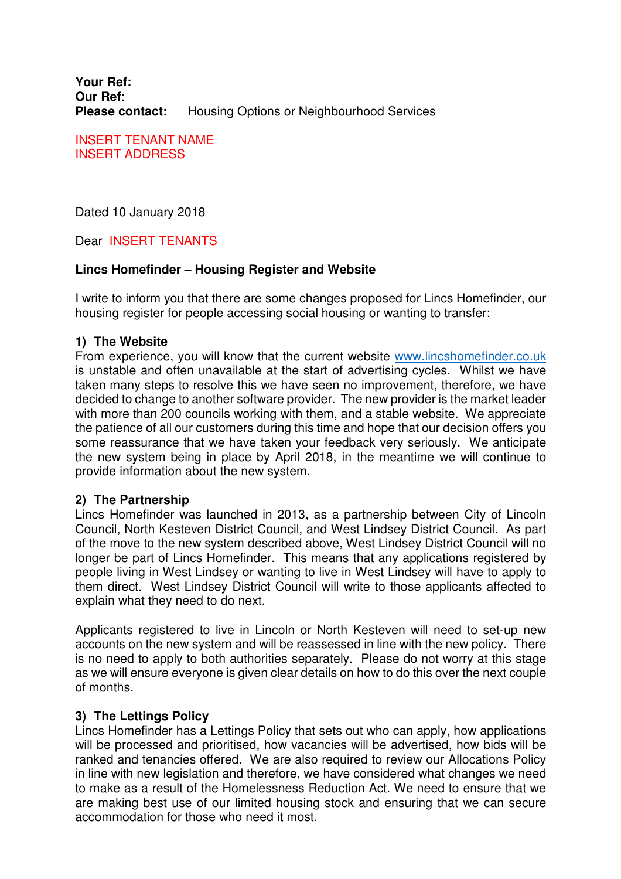**Your Ref: Our Ref**: **Please contact:** Housing Options or Neighbourhood Services

INSERT TENANT NAME INSERT ADDRESS

Dated 10 January 2018

Dear INSERT TENANTS

## **Lincs Homefinder – Housing Register and Website**

I write to inform you that there are some changes proposed for Lincs Homefinder, our housing register for people accessing social housing or wanting to transfer:

## **1) The Website**

From experience, you will know that the current website www.lincshomefinder.co.uk is unstable and often unavailable at the start of advertising cycles. Whilst we have taken many steps to resolve this we have seen no improvement, therefore, we have decided to change to another software provider. The new provider is the market leader with more than 200 councils working with them, and a stable website. We appreciate the patience of all our customers during this time and hope that our decision offers you some reassurance that we have taken your feedback very seriously. We anticipate the new system being in place by April 2018, in the meantime we will continue to provide information about the new system.

#### **2) The Partnership**

Lincs Homefinder was launched in 2013, as a partnership between City of Lincoln Council, North Kesteven District Council, and West Lindsey District Council. As part of the move to the new system described above, West Lindsey District Council will no longer be part of Lincs Homefinder. This means that any applications registered by people living in West Lindsey or wanting to live in West Lindsey will have to apply to them direct. West Lindsey District Council will write to those applicants affected to explain what they need to do next.

Applicants registered to live in Lincoln or North Kesteven will need to set-up new accounts on the new system and will be reassessed in line with the new policy. There is no need to apply to both authorities separately. Please do not worry at this stage as we will ensure everyone is given clear details on how to do this over the next couple of months.

## **3) The Lettings Policy**

Lincs Homefinder has a Lettings Policy that sets out who can apply, how applications will be processed and prioritised, how vacancies will be advertised, how bids will be ranked and tenancies offered. We are also required to review our Allocations Policy in line with new legislation and therefore, we have considered what changes we need to make as a result of the Homelessness Reduction Act. We need to ensure that we are making best use of our limited housing stock and ensuring that we can secure accommodation for those who need it most.